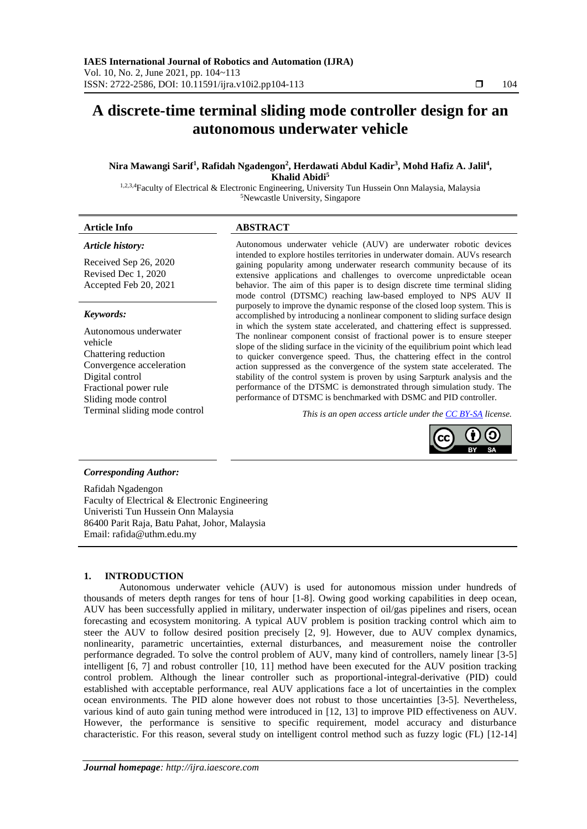# **A discrete-time terminal sliding mode controller design for an autonomous underwater vehicle**

## **Nira Mawangi Sarif<sup>1</sup> , Rafidah Ngadengon<sup>2</sup> , Herdawati Abdul Kadir<sup>3</sup> , Mohd Hafiz A. Jalil<sup>4</sup> , Khalid Abidi<sup>5</sup>**

1,2,3,4Faculty of Electrical & Electronic Engineering, University Tun Hussein Onn Malaysia, Malaysia <sup>5</sup>Newcastle University, Singapore

## **Article Info ABSTRACT**

## *Article history:*

Received Sep 26, 2020 Revised Dec 1, 2020 Accepted Feb 20, 2021

## *Keywords:*

Autonomous underwater vehicle Chattering reduction Convergence acceleration Digital control Fractional power rule Sliding mode control

Autonomous underwater vehicle (AUV) are underwater robotic devices intended to explore hostiles territories in underwater domain. AUVs research gaining popularity among underwater research community because of its extensive applications and challenges to overcome unpredictable ocean behavior. The aim of this paper is to design discrete time terminal sliding mode control (DTSMC) reaching law-based employed to NPS AUV II purposely to improve the dynamic response of the closed loop system. This is accomplished by introducing a nonlinear component to sliding surface design in which the system state accelerated, and chattering effect is suppressed. The nonlinear component consist of fractional power is to ensure steeper slope of the sliding surface in the vicinity of the equilibrium point which lead to quicker convergence speed. Thus, the chattering effect in the control action suppressed as the convergence of the system state accelerated. The stability of the control system is proven by using Sarpturk analysis and the performance of the DTSMC is demonstrated through simulation study. The performance of DTSMC is benchmarked with DSMC and PID controller.

Terminal sliding mode control *This is an open access article under the [CC BY-SA](https://creativecommons.org/licenses/by-sa/4.0/) license.*



## *Corresponding Author:*

Rafidah Ngadengon Faculty of Electrical & Electronic Engineering Univeristi Tun Hussein Onn Malaysia 86400 Parit Raja, Batu Pahat, Johor, Malaysia Email: rafida@uthm.edu.my

## **1. INTRODUCTION**

Autonomous underwater vehicle (AUV) is used for autonomous mission under hundreds of thousands of meters depth ranges for tens of hour [1-8]. Owing good working capabilities in deep ocean, AUV has been successfully applied in military, underwater inspection of oil/gas pipelines and risers, ocean forecasting and ecosystem monitoring. A typical AUV problem is position tracking control which aim to steer the AUV to follow desired position precisely [2, 9]. However, due to AUV complex dynamics, nonlinearity, parametric uncertainties, external disturbances, and measurement noise the controller performance degraded. To solve the control problem of AUV, many kind of controllers, namely linear [3-5] intelligent [6, 7] and robust controller [10, 11] method have been executed for the AUV position tracking control problem. Although the linear controller such as proportional-integral-derivative (PID) could established with acceptable performance, real AUV applications face a lot of uncertainties in the complex ocean environments. The PID alone however does not robust to those uncertainties [3-5]. Nevertheless, various kind of auto gain tuning method were introduced in [12, 13] to improve PID effectiveness on AUV. However, the performance is sensitive to specific requirement, model accuracy and disturbance characteristic. For this reason, several study on intelligent control method such as fuzzy logic (FL) [12-14]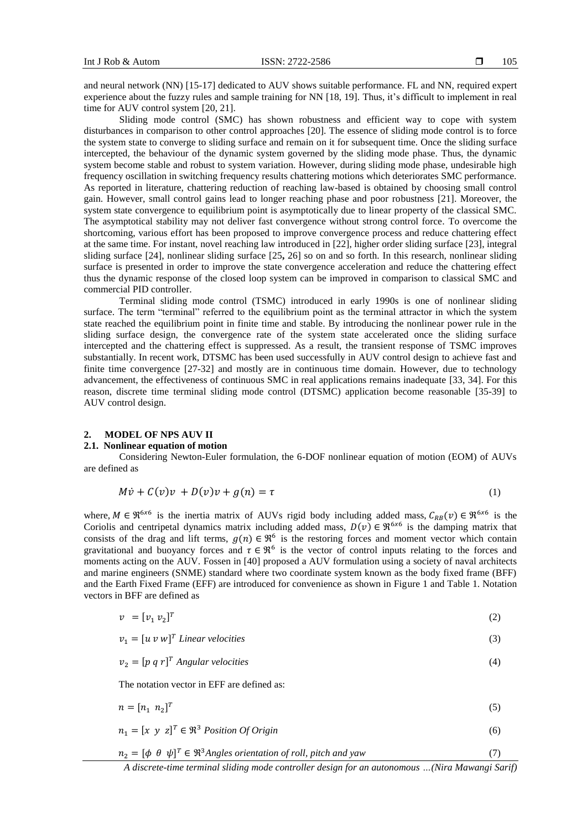and neural network (NN) [15-17] dedicated to AUV shows suitable performance. FL and NN, required expert experience about the fuzzy rules and sample training for NN [18, 19]. Thus, it's difficult to implement in real time for AUV control system [20, 21].

Sliding mode control (SMC) has shown robustness and efficient way to cope with system disturbances in comparison to other control approaches [20]. The essence of sliding mode control is to force the system state to converge to sliding surface and remain on it for subsequent time. Once the sliding surface intercepted, the behaviour of the dynamic system governed by the sliding mode phase. Thus, the dynamic system become stable and robust to system variation. However, during sliding mode phase, undesirable high frequency oscillation in switching frequency results chattering motions which deteriorates SMC performance. As reported in literature, chattering reduction of reaching law-based is obtained by choosing small control gain. However, small control gains lead to longer reaching phase and poor robustness [21]. Moreover, the system state convergence to equilibrium point is asymptotically due to linear property of the classical SMC. The asymptotical stability may not deliver fast convergence without strong control force. To overcome the shortcoming, various effort has been proposed to improve convergence process and reduce chattering effect at the same time. For instant, novel reaching law introduced in [22], higher order sliding surface [23], integral sliding surface [24], nonlinear sliding surface [25**,** 26] so on and so forth. In this research, nonlinear sliding surface is presented in order to improve the state convergence acceleration and reduce the chattering effect thus the dynamic response of the closed loop system can be improved in comparison to classical SMC and commercial PID controller.

Terminal sliding mode control (TSMC) introduced in early 1990s is one of nonlinear sliding surface. The term "terminal" referred to the equilibrium point as the terminal attractor in which the system state reached the equilibrium point in finite time and stable. By introducing the nonlinear power rule in the sliding surface design, the convergence rate of the system state accelerated once the sliding surface intercepted and the chattering effect is suppressed. As a result, the transient response of TSMC improves substantially. In recent work, DTSMC has been used successfully in AUV control design to achieve fast and finite time convergence [27-32] and mostly are in continuous time domain. However, due to technology advancement, the effectiveness of continuous SMC in real applications remains inadequate [33, 34]. For this reason, discrete time terminal sliding mode control (DTSMC) application become reasonable [35-39] to AUV control design.

#### **2. MODEL OF NPS AUV II**

#### **2.1. Nonlinear equation of motion**

Considering Newton-Euler formulation, the 6-DOF nonlinear equation of motion (EOM) of AUVs are defined as

$$
M\dot{v} + C(v)v + D(v)v + g(n) = \tau
$$
\n<sup>(1)</sup>

where,  $M \in \mathfrak{R}^{6\times6}$  is the inertia matrix of AUVs rigid body including added mass,  $C_{RB}(v) \in \mathfrak{R}^{6\times6}$  is the Coriolis and centripetal dynamics matrix including added mass,  $D(v) \in \mathbb{R}^{6 \times 6}$  is the damping matrix that consists of the drag and lift terms,  $g(n) \in \mathbb{R}^6$  is the restoring forces and moment vector which contain gravitational and buoyancy forces and  $\tau \in \mathcal{R}^6$  is the vector of control inputs relating to the forces and moments acting on the AUV. Fossen in [40] proposed a AUV formulation using a society of naval architects and marine engineers (SNME) standard where two coordinate system known as the body fixed frame (BFF) and the Earth Fixed Frame (EFF) are introduced for convenience as shown in Figure 1 and Table 1. Notation vectors in BFF are defined as

$$
v = [v_1 \ v_2]^T \tag{2}
$$

 $v_1 = [u \ v \ w]^T$  Linear velocities (3)

$$
v_2 = [p \ q \ r]^T \text{ Angular velocities}
$$
 (4)

The notation vector in EFF are defined as:

$$
n = [n_1 \ n_2]^T \tag{5}
$$

$$
n_1 = [x \ y \ z]^T \in \mathfrak{R}^3 \text{ Position } \text{Of } \text{Origin}
$$
\n
$$
(6)
$$

 $n_2 = [\phi \ \theta \ \psi]^T \in \Re^3$ Angles orientation of roll, pitch and yaw (7)

*A discrete-time terminal sliding mode controller design for an autonomous …(Nira Mawangi Sarif)*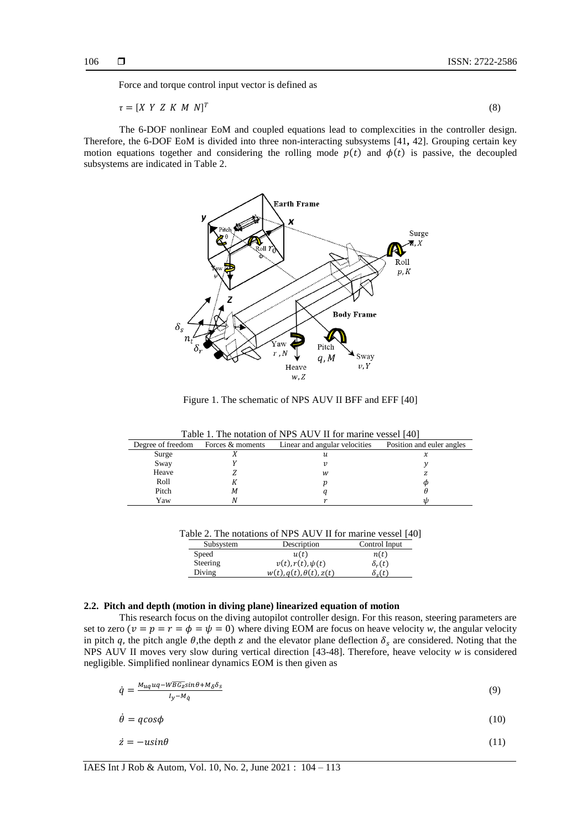Force and torque control input vector is defined as

$$
\tau = [X \ Y \ Z \ K \ M \ N]^T \tag{8}
$$

The 6-DOF nonlinear EoM and coupled equations lead to complexcities in the controller design. Therefore, the 6-DOF EoM is divided into three non-interacting subsystems [41**,** 42]. Grouping certain key motion equations together and considering the rolling mode  $p(t)$  and  $\phi(t)$  is passive, the decoupled subsystems are indicated in Table 2.



Figure 1. The schematic of NPS AUV II BFF and EFF [40]

Table 1. The notation of NPS AUV II for marine vessel [40]

| Degree of freedom | Forces & moments | Linear and angular velocities | Position and euler angles |
|-------------------|------------------|-------------------------------|---------------------------|
| Surge             |                  | и                             | х                         |
| Sway              |                  |                               |                           |
| Heave             |                  | w                             |                           |
| Roll              |                  |                               |                           |
| Pitch             | М                |                               |                           |
| Yaw               |                  |                               |                           |

Table 2. The notations of NPS AUV II for marine vessel [40]

| Subsystem | Description                            | Control Input        |
|-----------|----------------------------------------|----------------------|
| Speed     | u(t)                                   | n(t)                 |
| Steering  | $v(t)$ , $r(t)$ , $\psi(t)$            | $\delta_r(t)$        |
| Diving    | $w(t)$ , $q(t)$ , $\theta(t)$ , $z(t)$ | $\delta_{\alpha}(t)$ |

## **2.2. Pitch and depth (motion in diving plane) linearized equation of motion**

This research focus on the diving autopilot controller design. For this reason, steering parameters are set to zero  $(v = p = r = \phi = \psi = 0)$  where diving EOM are focus on heave velocity *w*, the angular velocity in pitch q, the pitch angle  $\theta$ , the depth z and the elevator plane deflection  $\delta_s$  are considered. Noting that the NPS AUV II moves very slow during vertical direction [43-48]. Therefore, heave velocity *w* is considered negligible. Simplified nonlinear dynamics EOM is then given as

$$
\dot{q} = \frac{M_{uq}uq - W\overline{BG}_{z}\sin\theta + M_{\delta}\delta_{s}}{I_{y} - M_{q}}
$$
\n(9)

$$
\dot{\theta} = q\cos\phi\tag{10}
$$

$$
\dot{z} = -u\sin\theta\tag{11}
$$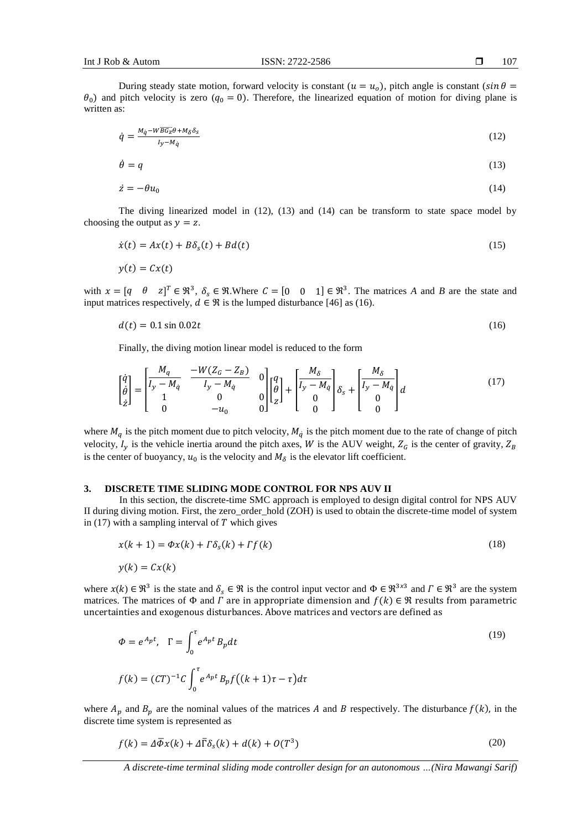$y(t) = Cx(t)$ 

107

During steady state motion, forward velocity is constant ( $u = u<sub>o</sub>$ ), pitch angle is constant ( $sin \theta =$  $\theta_0$ ) and pitch velocity is zero  $(q_0 = 0)$ . Therefore, the linearized equation of motion for diving plane is written as:

$$
\dot{q} = \frac{M_{\dot{q}} - W\overline{BG_z}\theta + M_{\delta}\delta_S}{I_y - M_{\dot{q}}}
$$
\n(12)

$$
\dot{\theta} = q \tag{13}
$$

$$
\dot{z} = -\theta u_0 \tag{14}
$$

The diving linearized model in (12), (13) and (14) can be transform to state space model by choosing the output as  $y = z$ .

$$
\dot{x}(t) = Ax(t) + B\delta_s(t) + Bd(t) \tag{15}
$$

with  $x = [q \quad \theta \quad z]^T \in \mathbb{R}^3$ ,  $\delta_s \in \mathbb{R}$ . Where  $C = [0 \quad 0 \quad 1] \in \mathbb{R}^3$ . The matrices A and B are the state and input matrices respectively,  $d \in \Re$  is the lumped disturbance [46] as (16).

$$
d(t) = 0.1 \sin 0.02t \tag{16}
$$

Finally, the diving motion linear model is reduced to the form

$$
\begin{bmatrix} \dot{q} \\ \dot{\theta} \\ \dot{z} \end{bmatrix} = \begin{bmatrix} M_q & -W(Z_G - Z_B) & 0 \\ I_y - M_{\dot{q}} & 0 & 0 \\ 1 & 0 & 0 \\ 0 & -u_0 & 0 \end{bmatrix} \begin{bmatrix} q \\ \theta \\ z \end{bmatrix} + \begin{bmatrix} M_{\delta} \\ I_y - M_{\dot{q}} \\ 0 \\ 0 \end{bmatrix} \delta_s + \begin{bmatrix} M_{\delta} \\ I_y - M_{\dot{q}} \\ 0 \\ 0 \end{bmatrix} d \tag{17}
$$

where  $M_q$  is the pitch moment due to pitch velocity,  $M_{\dot{q}}$  is the pitch moment due to the rate of change of pitch velocity,  $I_y$  is the vehicle inertia around the pitch axes, W is the AUV weight,  $Z_G$  is the center of gravity,  $Z_B$ is the center of buoyancy,  $u_0$  is the velocity and  $M_\delta$  is the elevator lift coefficient.

#### **3. DISCRETE TIME SLIDING MODE CONTROL FOR NPS AUV II**

In this section, the discrete-time SMC approach is employed to design digital control for NPS AUV II during diving motion. First, the zero\_order\_hold (ZOH) is used to obtain the discrete-time model of system in (17) with a sampling interval of  $T$  which gives

$$
x(k+1) = \Phi x(k) + \Gamma \delta_s(k) + \Gamma f(k) \tag{18}
$$

$$
y(k) = Cx(k)
$$

where  $x(k) \in \mathbb{R}^3$  is the state and  $\delta_s \in \mathbb{R}$  is the control input vector and  $\Phi \in \mathbb{R}^{3 \times 3}$  and  $\Gamma \in \mathbb{R}^3$  are the system matrices. The matrices of  $\Phi$  and  $\Gamma$  are in appropriate dimension and  $f(k) \in \mathcal{R}$  results from parametric uncertainties and exogenous disturbances. Above matrices and vectors are defined as

$$
\Phi = e^{A_p t}, \quad \Gamma = \int_0^{\tau} e^{A_p t} B_p dt
$$
\n
$$
f(k) = (CT)^{-1} C \int_0^{\tau} e^{A_p t} B_p f((k+1)\tau - \tau) d\tau
$$
\n(19)

where  $A_p$  and  $B_p$  are the nominal values of the matrices A and B respectively. The disturbance  $f(k)$ , in the discrete time system is represented as

$$
f(k) = \Delta \overline{\Phi} x(k) + \Delta \overline{\Gamma} \delta_s(k) + d(k) + O(T^3)
$$
\n(20)

*A discrete-time terminal sliding mode controller design for an autonomous …(Nira Mawangi Sarif)*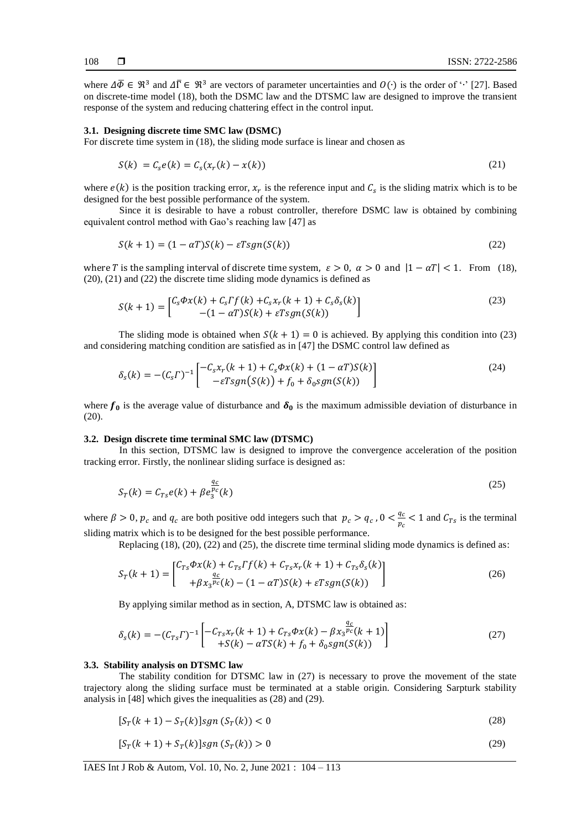where  $\Delta \overline{\Phi} \in \mathbb{R}^3$  and  $\Delta \overline{\Gamma} \in \mathbb{R}^3$  are vectors of parameter uncertainties and  $O(\cdot)$  is the order of ' $\cdot$ ' [27]. Based on discrete-time model (18), both the DSMC law and the DTSMC law are designed to improve the transient response of the system and reducing chattering effect in the control input.

#### **3.1. Designing discrete time SMC law (DSMC)**

For discrete time system in (18), the sliding mode surface is linear and chosen as

$$
S(k) = Cse(k) = Cs(xr(k) - x(k))
$$
\n(21)

where  $e(k)$  is the position tracking error,  $x_r$  is the reference input and  $C_s$  is the sliding matrix which is to be designed for the best possible performance of the system.

Since it is desirable to have a robust controller, therefore DSMC law is obtained by combining equivalent control method with Gao's reaching law [47] as

$$
S(k+1) = (1 - \alpha T)S(k) - \varepsilon Tsgn(S(k))
$$
\n(22)

where T is the sampling interval of discrete time system,  $\varepsilon > 0$ ,  $\alpha > 0$  and  $|1 - \alpha T| < 1$ . From (18), (20), (21) and (22) the discrete time sliding mode dynamics is defined as

$$
S(k+1) = \begin{bmatrix} C_s \Phi x(k) + C_s \Gamma f(k) + C_s x_r(k+1) + C_s \delta_s(k) \\ -(1 - \alpha \Gamma) S(k) + \varepsilon T sgn(S(k)) \end{bmatrix}
$$
\n(23)

The sliding mode is obtained when  $S(k + 1) = 0$  is achieved. By applying this condition into (23) and considering matching condition are satisfied as in [47] the DSMC control law defined as

$$
\delta_{s}(k) = -(C_{s}\Gamma)^{-1} \begin{bmatrix} -C_{s}x_{r}(k+1) + C_{s}\Phi x(k) + (1-\alpha T)S(k) \\ -\varepsilon Tsgn(S(k)) + f_{0} + \delta_{0}sgn(S(k)) \end{bmatrix}
$$
(24)

where  $f_0$  is the average value of disturbance and  $\delta_0$  is the maximum admissible deviation of disturbance in (20).

## **3.2. Design discrete time terminal SMC law (DTSMC)**

In this section, DTSMC law is designed to improve the convergence acceleration of the position tracking error. Firstly, the nonlinear sliding surface is designed as:

$$
S_T(k) = C_{Ts}e(k) + \beta e_3^{\frac{q_c}{p_c}}(k)
$$
\n
$$
(25)
$$

where  $\beta > 0$ ,  $p_c$  and  $q_c$  are both positive odd integers such that  $p_c > q_c$ ,  $0 < \frac{q_c}{r_c}$  $\frac{q_c}{p_c}$  < 1 and  $C_{Ts}$  is the terminal sliding matrix which is to be designed for the best possible performance.

Replacing (18), (20), (22) and (25), the discrete time terminal sliding mode dynamics is defined as:

$$
S_T(k+1) = \begin{bmatrix} C_{Ts}\Phi x(k) + C_{Ts} \Gamma f(k) + C_{Ts} x_r(k+1) + C_{Ts} \delta_s(k) \\ + \beta x_3^{pc}(k) - (1 - \alpha T) S(k) + \varepsilon T sgn(S(k)) \end{bmatrix}
$$
(26)

By applying similar method as in section, A, DTSMC law is obtained as:

$$
\delta_{s}(k) = -(C_{Ts}\Gamma)^{-1} \left[ -C_{Ts}x_{r}(k+1) + C_{Ts}\Phi x(k) - \beta x_{3} \frac{q_{c}}{r}(k+1) + S(k) - \alpha TS(k) + f_{0} + \delta_{0}sgn(S(k)) \right]
$$
\n(27)

#### **3.3. Stability analysis on DTSMC law**

The stability condition for DTSMC law in (27) is necessary to prove the movement of the state trajectory along the sliding surface must be terminated at a stable origin. Considering Sarpturk stability analysis in [48] which gives the inequalities as (28) and (29).

$$
[S_T(k+1) - S_T(k)]sgn(S_T(k)) < 0 \tag{28}
$$

$$
[S_T(k+1) + S_T(k)]sgn(S_T(k)) > 0
$$
\n(29)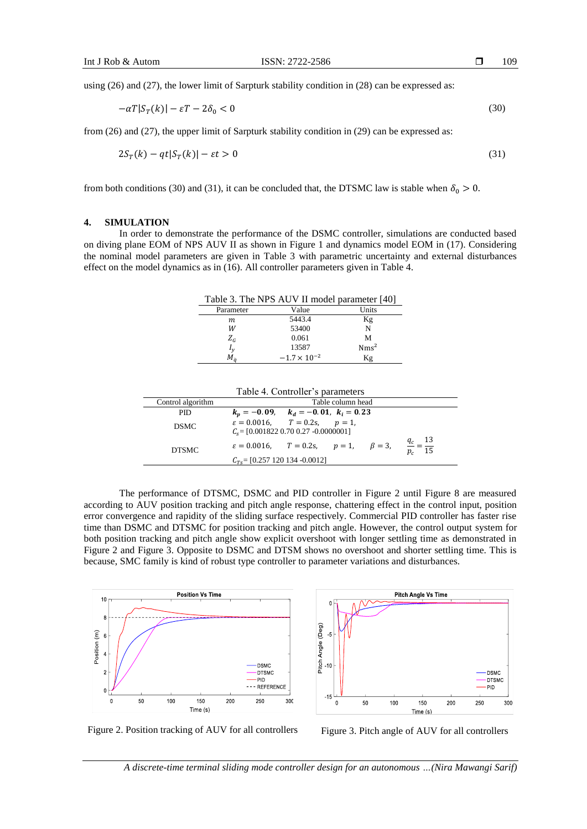using (26) and (27), the lower limit of Sarpturk stability condition in (28) can be expressed as:

$$
-\alpha T|S_T(k)| - \varepsilon T - 2\delta_0 < 0\tag{30}
$$

from (26) and (27), the upper limit of Sarpturk stability condition in (29) can be expressed as:

$$
2S_T(k) - qt|S_T(k)| - \varepsilon t > 0
$$
\n<sup>(31)</sup>

from both conditions (30) and (31), it can be concluded that, the DTSMC law is stable when  $\delta_0 > 0$ .

### **4. SIMULATION**

In order to demonstrate the performance of the DSMC controller, simulations are conducted based on diving plane EOM of NPS AUV II as shown in Figure 1 and dynamics model EOM in (17). Considering the nominal model parameters are given in Table 3 with parametric uncertainty and external disturbances effect on the model dynamics as in (16). All controller parameters given in Table 4.

|  |  |  |  | Table 3. The NPS AUV II model parameter [40] |  |
|--|--|--|--|----------------------------------------------|--|
|--|--|--|--|----------------------------------------------|--|

| Parameter      | Value                 | Units            |
|----------------|-----------------------|------------------|
| m              | 5443.4                | Kg               |
| W              | 53400                 | N                |
| $Z_G$          | 0.061                 | М                |
| $I_{\nu}$      | 13587                 | Nms <sup>2</sup> |
| $M_{\epsilon}$ | $-1.7 \times 10^{-2}$ | Κg               |

| Table 4. Controller's parameters |
|----------------------------------|
|----------------------------------|

| Control algorithm | Table column head                                                                                  |  |
|-------------------|----------------------------------------------------------------------------------------------------|--|
| PID.              | $k_n = -0.09$ , $k_d = -0.01$ , $k_i = 0.23$                                                       |  |
| <b>DSMC</b>       | $\varepsilon = 0.0016$ , $T = 0.2$ s, $p = 1$ ,<br>$C_s = [0.001822 \ 0.70 \ 0.27 \ -0.0000001]$   |  |
| <b>DTSMC</b>      | $\frac{q_c}{p_c} = \frac{13}{15}$<br>$\varepsilon = 0.0016$ , $T = 0.2$ s, $p = 1$ , $\beta = 3$ , |  |
|                   | $C_{Ts}$ = [0.257 120 134 -0.0012]                                                                 |  |

The performance of DTSMC, DSMC and PID controller in Figure 2 until Figure 8 are measured according to AUV position tracking and pitch angle response, chattering effect in the control input, position error convergence and rapidity of the sliding surface respectively. Commercial PID controller has faster rise time than DSMC and DTSMC for position tracking and pitch angle. However, the control output system for both position tracking and pitch angle show explicit overshoot with longer settling time as demonstrated in Figure 2 and Figure 3. Opposite to DSMC and DTSM shows no overshoot and shorter settling time. This is because, SMC family is kind of robust type controller to parameter variations and disturbances.





Figure 2. Position tracking of AUV for all controllers Figure 3. Pitch angle of AUV for all controllers

*A discrete-time terminal sliding mode controller design for an autonomous …(Nira Mawangi Sarif)*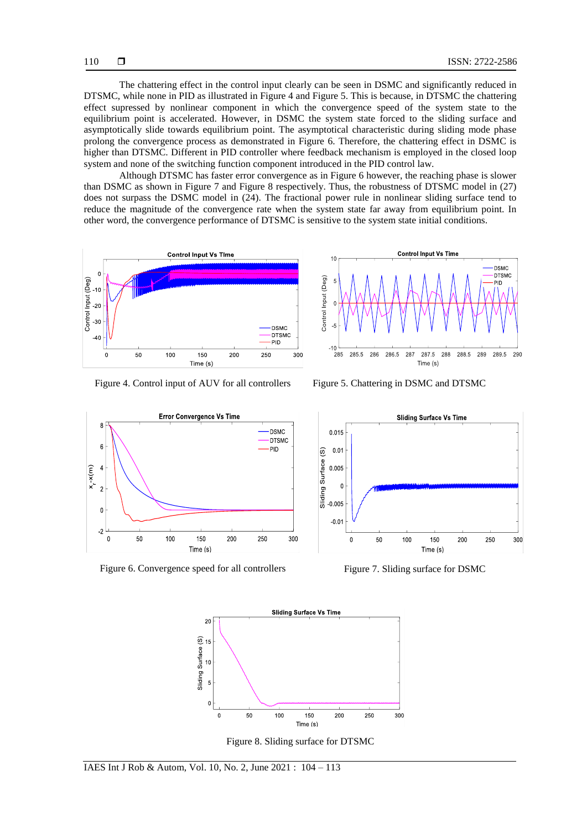The chattering effect in the control input clearly can be seen in DSMC and significantly reduced in DTSMC, while none in PID as illustrated in Figure 4 and Figure 5. This is because, in DTSMC the chattering effect supressed by nonlinear component in which the convergence speed of the system state to the equilibrium point is accelerated. However, in DSMC the system state forced to the sliding surface and asymptotically slide towards equilibrium point. The asymptotical characteristic during sliding mode phase prolong the convergence process as demonstrated in Figure 6. Therefore, the chattering effect in DSMC is higher than DTSMC. Different in PID controller where feedback mechanism is employed in the closed loop system and none of the switching function component introduced in the PID control law.

Although DTSMC has faster error convergence as in Figure 6 however, the reaching phase is slower than DSMC as shown in Figure 7 and Figure 8 respectively. Thus, the robustness of DTSMC model in (27) does not surpass the DSMC model in (24). The fractional power rule in nonlinear sliding surface tend to reduce the magnitude of the convergence rate when the system state far away from equilibrium point. In other word, the convergence performance of DTSMC is sensitive to the system state initial conditions.



Figure 4. Control input of AUV for all controllers Figure 5. Chattering in DSMC and DTSMC





Figure 6. Convergence speed for all controllers Figure 7. Sliding surface for DSMC





Figure 8. Sliding surface for DTSMC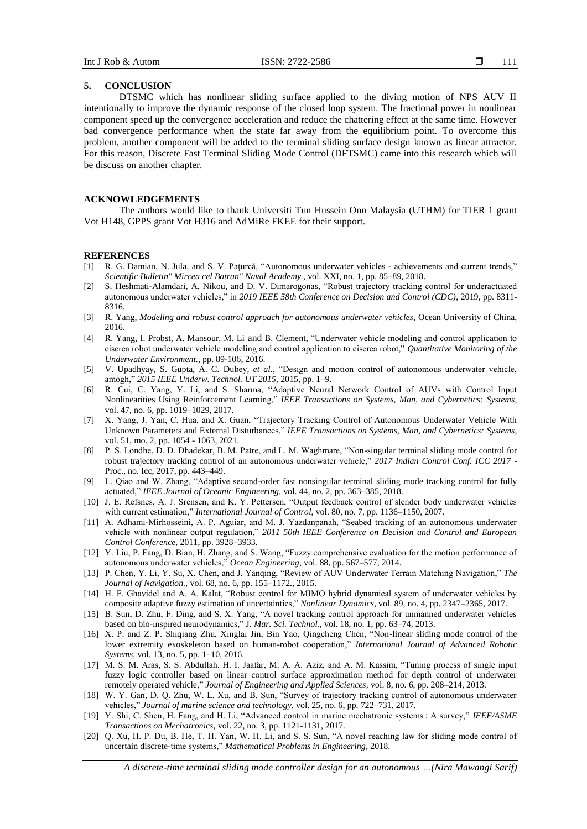## **5. CONCLUSION**

DTSMC which has nonlinear sliding surface applied to the diving motion of NPS AUV II intentionally to improve the dynamic response of the closed loop system. The fractional power in nonlinear component speed up the convergence acceleration and reduce the chattering effect at the same time. However bad convergence performance when the state far away from the equilibrium point. To overcome this problem, another component will be added to the terminal sliding surface design known as linear attractor. For this reason, Discrete Fast Terminal Sliding Mode Control (DFTSMC) came into this research which will be discuss on another chapter.

## **ACKNOWLEDGEMENTS**

The authors would like to thank Universiti Tun Hussein Onn Malaysia (UTHM) for TIER 1 grant Vot H148, GPPS grant Vot H316 and AdMiRe FKEE for their support.

#### **REFERENCES**

- [1] R. G. Damian, N. Jula, and S. V. Paţurcă, "Autonomous underwater vehicles achievements and current trends," *Scientific Bulletin" Mircea cel Batran" Naval Academy.*, vol. XXI, no. 1, pp. 85–89, 2018.
- [2] S. Heshmati-Alamdari, A. Nikou, and D. V. Dimarogonas, "Robust trajectory tracking control for underactuated autonomous underwater vehicles," in *2019 IEEE 58th Conference on Decision and Control (CDC)*, 2019, pp. 8311- 8316.
- [3] R. Yang, *Modeling and robust control approach for autonomous underwater vehicles*, Ocean University of China, 2016.
- [4] R. Yang, I. Probst, A. Mansour, M. Li and B. Clement, "Underwater vehicle modeling and control application to ciscrea robot underwater vehicle modeling and control application to ciscrea robot," *Quantitative Monitoring of the Underwater Environment.,* pp. 89-106, 2016.
- [5] V. Upadhyay, S. Gupta, A. C. Dubey*, et al.*, "Design and motion control of autonomous underwater vehicle, amogh," *2015 IEEE Underw. Technol. UT 2015*, 2015, pp. 1–9.
- [6] R. Cui, C. Yang, Y. Li, and S. Sharma, "Adaptive Neural Network Control of AUVs with Control Input Nonlinearities Using Reinforcement Learning," *IEEE Transactions on Systems, Man, and Cybernetics: Systems*, vol. 47, no. 6, pp. 1019–1029, 2017.
- [7] X. Yang, J. Yan, C. Hua, and X. Guan, "Trajectory Tracking Control of Autonomous Underwater Vehicle With Unknown Parameters and External Disturbances," *IEEE Transactions on Systems, Man, and Cybernetics: Systems*, vol. 51, mo. 2, pp. 1054 - 1063, 2021.
- [8] P. S. Londhe, D. D. Dhadekar, B. M. Patre, and L. M. Waghmare, "Non-singular terminal sliding mode control for robust trajectory tracking control of an autonomous underwater vehicle," *2017 Indian Control Conf. ICC 2017* - Proc., no. Icc, 2017, pp. 443–449.
- [9] L. Qiao and W. Zhang, "Adaptive second-order fast nonsingular terminal sliding mode tracking control for fully actuated," *IEEE Journal of Oceanic Engineering,* vol. 44, no. 2, pp. 363–385, 2018.
- [10] J. E. Refsnes, A. J. Srensen, and K. Y. Pettersen, "Output feedback control of slender body underwater vehicles with current estimation," *International Journal of Control*, vol. 80, no. 7, pp. 1136–1150, 2007.
- [11] A. Adhami-Mirhosseini, A. P. Aguiar, and M. J. Yazdanpanah, "Seabed tracking of an autonomous underwater vehicle with nonlinear output regulation," *2011 50th IEEE Conference on Decision and Control and European Control Conference*, 2011, pp. 3928–3933.
- [12] Y. Liu, P. Fang, D. Bian, H. Zhang, and S. Wang, "Fuzzy comprehensive evaluation for the motion performance of autonomous underwater vehicles," *Ocean Engineering*, vol. 88, pp. 567–577, 2014.
- [13] P. Chen, Y. Li, Y. Su, X. Chen, and J. Yanqing, "Review of AUV Underwater Terrain Matching Navigation," *The Journal of Navigation.,* vol. 68, no. 6, pp. 155–1172., 2015.
- [14] H. F. Ghavidel and A. A. Kalat, "Robust control for MIMO hybrid dynamical system of underwater vehicles by composite adaptive fuzzy estimation of uncertainties," *Nonlinear Dynamics*, vol. 89, no. 4, pp. 2347–2365, 2017.
- [15] B. Sun, D. Zhu, F. Ding, and S. X. Yang, "A novel tracking control approach for unmanned underwater vehicles based on bio-inspired neurodynamics," J*. Mar. Sci. Technol*., vol. 18, no. 1, pp. 63–74, 2013.
- [16] X. P. and Z. P. Shiqiang Zhu, Xinglai Jin, Bin Yao, Qingcheng Chen, "Non-linear sliding mode control of the lower extremity exoskeleton based on human-robot cooperation," *International Journal of Advanced Robotic Systems*, vol. 13, no. 5, pp. 1–10, 2016.
- [17] M. S. M. Aras, S. S. Abdullah, H. I. Jaafar, M. A. A. Aziz, and A. M. Kassim, "Tuning process of single input fuzzy logic controller based on linear control surface approximation method for depth control of underwater remotely operated vehicle," *Journal of Engineering and Applied Sciences,* vol. 8, no. 6, pp. 208–214, 2013.
- [18] W. Y. Gan, D. Q. Zhu, W. L. Xu, and B. Sun, "Survey of trajectory tracking control of autonomous underwater vehicles," *Journal of marine science and technology*, vol. 25, no. 6, pp. 722–731, 2017.
- [19] Y. Shi, C. Shen, H. Fang, and H. Li, "Advanced control in marine mechatronic systems : A survey," *IEEE/ASME Transactions on Mechatronics*, vol. 22, no. 3, pp. 1121-1131, 2017.
- [20] Q. Xu, H. P. Du, B. He, T. H. Yan, W. H. Li, and S. S. Sun, "A novel reaching law for sliding mode control of uncertain discrete-time systems," *Mathematical Problems in Engineering*, 2018.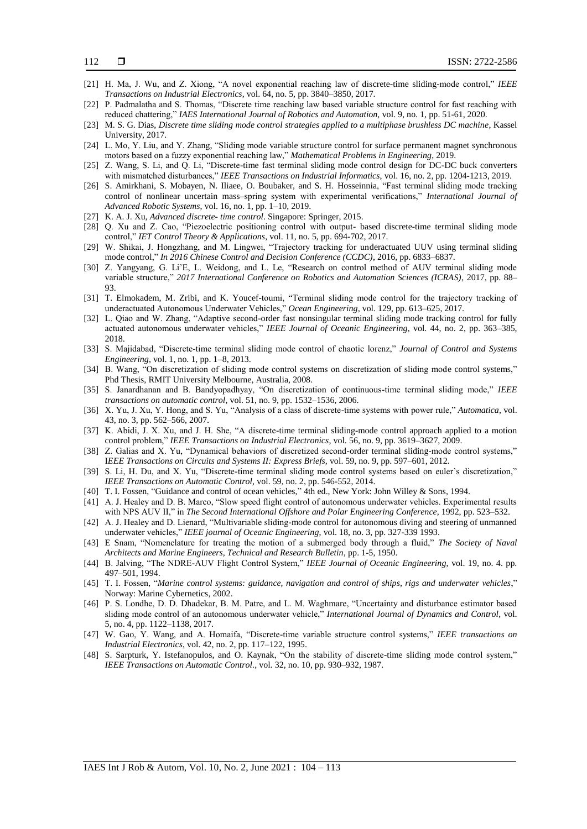- [21] H. Ma, J. Wu, and Z. Xiong, "A novel exponential reaching law of discrete-time sliding-mode control," *IEEE Transactions on Industrial Electronics*, vol. 64, no. 5, pp. 3840–3850, 2017.
- [22] P. Padmalatha and S. Thomas, "Discrete time reaching law based variable structure control for fast reaching with reduced chattering," *IAES International Journal of Robotics and Automation,* vol. 9, no. 1, pp. 51-61, 2020.
- [23] M. S. G. Dias, *Discrete time sliding mode control strategies applied to a multiphase brushless DC machine*, Kassel University, 2017.
- [24] L. Mo, Y. Liu, and Y. Zhang, "Sliding mode variable structure control for surface permanent magnet synchronous motors based on a fuzzy exponential reaching law," *Mathematical Problems in Engineering*, 2019.
- [25] Z. Wang, S. Li, and Q. Li, "Discrete-time fast terminal sliding mode control design for DC-DC buck converters with mismatched disturbances," *IEEE Transactions on Industrial Informatics*, vol. 16, no. 2, pp. 1204-1213, 2019.
- [26] S. Amirkhani, S. Mobayen, N. Iliaee, O. Boubaker, and S. H. Hosseinnia, "Fast terminal sliding mode tracking control of nonlinear uncertain mass–spring system with experimental verifications," *International Journal of Advanced Robotic Systems*, vol. 16, no. 1, pp. 1–10, 2019.
- [27] K. A. J. Xu, *Advanced discrete- time control*. Singapore: Springer, 2015.
- [28] Q. Xu and Z. Cao, "Piezoelectric positioning control with output- based discrete-time terminal sliding mode control," *IET Control Theory & Applications*, vol. 11, no. 5, pp. 694-702, 2017.
- [29] W. Shikai, J. Hongzhang, and M. Lingwei, "Trajectory tracking for underactuated UUV using terminal sliding mode control," *In 2016 Chinese Control and Decision Conference (CCDC)*, 2016, pp. 6833–6837.
- [30] Z. Yangyang, G. Li'E, L. Weidong, and L. Le, "Research on control method of AUV terminal sliding mode variable structure," *2017 International Conference on Robotics and Automation Sciences (ICRAS)*, 2017, pp. 88– 93.
- [31] T. Elmokadem, M. Zribi, and K. Youcef-toumi, "Terminal sliding mode control for the trajectory tracking of underactuated Autonomous Underwater Vehicles," *Ocean Engineering*, vol. 129, pp. 613–625, 2017.
- [32] L. Qiao and W. Zhang, "Adaptive second-order fast nonsingular terminal sliding mode tracking control for fully actuated autonomous underwater vehicles," *IEEE Journal of Oceanic Engineering*, vol. 44, no. 2, pp. 363–385, 2018.
- [33] S. Majidabad, "Discrete-time terminal sliding mode control of chaotic lorenz," *Journal of Control and Systems Engineering*, vol. 1, no. 1, pp. 1–8, 2013.
- [34] B. Wang, "On discretization of sliding mode control systems on discretization of sliding mode control systems," Phd Thesis, RMIT University Melbourne, Australia, 2008.
- [35] S. Janardhanan and B. Bandyopadhyay, "On discretization of continuous-time terminal sliding mode," *IEEE transactions on automatic control*, vol. 51, no. 9, pp. 1532–1536, 2006.
- [36] X. Yu, J. Xu, Y. Hong, and S. Yu, "Analysis of a class of discrete-time systems with power rule," *Automatica*, vol. 43, no. 3, pp. 562–566, 2007.
- [37] K. Abidi, J. X. Xu, and J. H. She, "A discrete-time terminal sliding-mode control approach applied to a motion control problem," *IEEE Transactions on Industrial Electronics*, vol. 56, no. 9, pp. 3619–3627, 2009.
- [38] Z. Galias and X. Yu, "Dynamical behaviors of discretized second-order terminal sliding-mode control systems," I*EEE Transactions on Circuits and Systems II: Express Briefs*, vol. 59, no. 9, pp. 597–601, 2012.
- [39] S. Li, H. Du, and X. Yu, "Discrete-time terminal sliding mode control systems based on euler's discretization," *IEEE Transactions on Automatic Control,* vol. 59, no. 2, pp. 546-552, 2014.
- [40] T. I. Fossen, "Guidance and control of ocean vehicles," 4th ed., New York: John Willey & Sons, 1994.
- [41] A. J. Healey and D. B. Marco, "Slow speed flight control of autonomous underwater vehicles. Experimental results with NPS AUV II," in *The Second International Offshore and Polar Engineering Conference*, 1992, pp. 523–532.
- [42] A. J. Healey and D. Lienard, "Multivariable sliding-mode control for autonomous diving and steering of unmanned underwater vehicles," *IEEE journal of Oceanic Engineering*, vol. 18, no. 3, pp. 327-339 1993.
- [43] E Snam, "Nomenclature for treating the motion of a submerged body through a fluid," *The Society of Naval Architects and Marine Engineers, Technical and Research Bulletin*, pp. 1-5, 1950.
- [44] B. Jalving, "The NDRE-AUV Flight Control System," *IEEE Journal of Oceanic Engineering*, vol. 19, no. 4. pp. 497–501, 1994.
- [45] T. I. Fossen, "*Marine control systems: guidance, navigation and control of ships, rigs and underwater vehicles*," Norway: Marine Cybernetics, 2002.
- [46] P. S. Londhe, D. D. Dhadekar, B. M. Patre, and L. M. Waghmare, "Uncertainty and disturbance estimator based sliding mode control of an autonomous underwater vehicle," *International Journal of Dynamics and Control*, vol. 5, no. 4, pp. 1122–1138, 2017.
- [47] W. Gao, Y. Wang, and A. Homaifa, "Discrete-time variable structure control systems," *IEEE transactions on Industrial Electronics*, vol. 42, no. 2, pp. 117–122, 1995.
- [48] S. Sarpturk, Y. Istefanopulos, and O. Kaynak, "On the stability of discrete-time sliding mode control system," *IEEE Transactions on Automatic Control.*, vol. 32, no. 10, pp. 930–932, 1987.